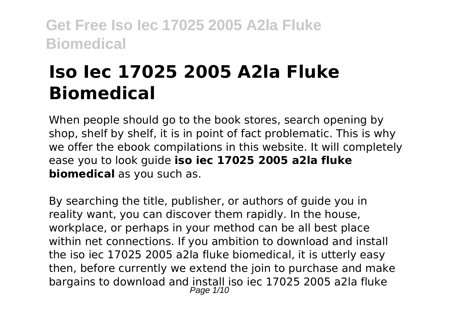# **Iso Iec 17025 2005 A2la Fluke Biomedical**

When people should go to the book stores, search opening by shop, shelf by shelf, it is in point of fact problematic. This is why we offer the ebook compilations in this website. It will completely ease you to look guide **iso iec 17025 2005 a2la fluke biomedical** as you such as.

By searching the title, publisher, or authors of guide you in reality want, you can discover them rapidly. In the house, workplace, or perhaps in your method can be all best place within net connections. If you ambition to download and install the iso iec 17025 2005 a2la fluke biomedical, it is utterly easy then, before currently we extend the join to purchase and make bargains to download and install iso iec 17025 2005 a2la fluke Page  $1/10$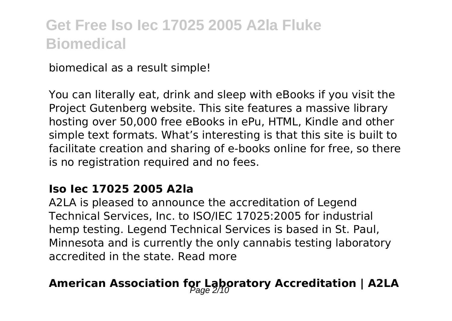biomedical as a result simple!

You can literally eat, drink and sleep with eBooks if you visit the Project Gutenberg website. This site features a massive library hosting over 50,000 free eBooks in ePu, HTML, Kindle and other simple text formats. What's interesting is that this site is built to facilitate creation and sharing of e-books online for free, so there is no registration required and no fees.

#### **Iso Iec 17025 2005 A2la**

A2LA is pleased to announce the accreditation of Legend Technical Services, Inc. to ISO/IEC 17025:2005 for industrial hemp testing. Legend Technical Services is based in St. Paul, Minnesota and is currently the only cannabis testing laboratory accredited in the state. Read more

### American Association for Laboratory Accreditation | A2LA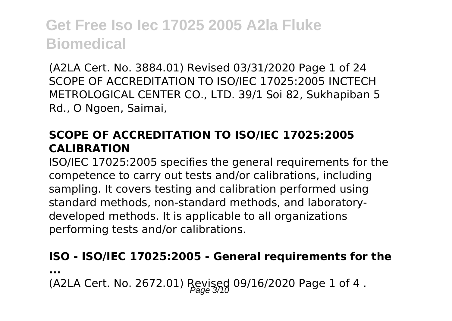(A2LA Cert. No. 3884.01) Revised 03/31/2020 Page 1 of 24 SCOPE OF ACCREDITATION TO ISO/IEC 17025:2005 INCTECH METROLOGICAL CENTER CO., LTD. 39/1 Soi 82, Sukhapiban 5 Rd., O Ngoen, Saimai,

#### **SCOPE OF ACCREDITATION TO ISO/IEC 17025:2005 CALIBRATION**

ISO/IEC 17025:2005 specifies the general requirements for the competence to carry out tests and/or calibrations, including sampling. It covers testing and calibration performed using standard methods, non-standard methods, and laboratorydeveloped methods. It is applicable to all organizations performing tests and/or calibrations.

#### **ISO - ISO/IEC 17025:2005 - General requirements for the**

**...**

(A2LA Cert. No. 2672.01) Revised 09/16/2020 Page 1 of 4.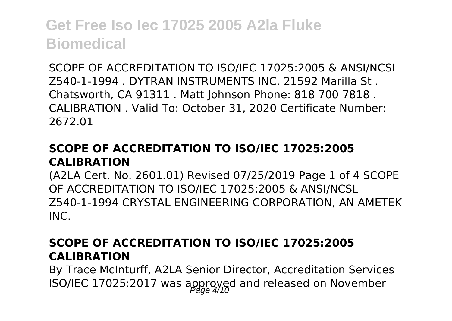SCOPE OF ACCREDITATION TO ISO/IEC 17025:2005 & ANSI/NCSL Z540-1-1994 . DYTRAN INSTRUMENTS INC. 21592 Marilla St . Chatsworth, CA 91311 . Matt Johnson Phone: 818 700 7818 . CALIBRATION . Valid To: October 31, 2020 Certificate Number: 2672.01

#### **SCOPE OF ACCREDITATION TO ISO/IEC 17025:2005 CALIBRATION**

(A2LA Cert. No. 2601.01) Revised 07/25/2019 Page 1 of 4 SCOPE OF ACCREDITATION TO ISO/IEC 17025:2005 & ANSI/NCSL Z540-1-1994 CRYSTAL ENGINEERING CORPORATION, AN AMETEK INC.

#### **SCOPE OF ACCREDITATION TO ISO/IEC 17025:2005 CALIBRATION**

By Trace McInturff, A2LA Senior Director, Accreditation Services ISO/IEC 17025:2017 was approved and released on November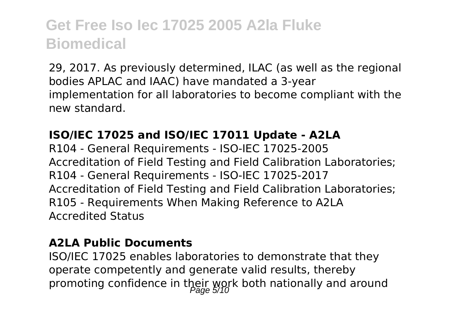29, 2017. As previously determined, ILAC (as well as the regional bodies APLAC and IAAC) have mandated a 3-year implementation for all laboratories to become compliant with the new standard.

#### **ISO/IEC 17025 and ISO/IEC 17011 Update - A2LA**

R104 - General Requirements - ISO-IEC 17025-2005 Accreditation of Field Testing and Field Calibration Laboratories; R104 - General Requirements - ISO-IEC 17025-2017 Accreditation of Field Testing and Field Calibration Laboratories; R105 - Requirements When Making Reference to A2LA Accredited Status

#### **A2LA Public Documents**

ISO/IEC 17025 enables laboratories to demonstrate that they operate competently and generate valid results, thereby promoting confidence in their work both nationally and around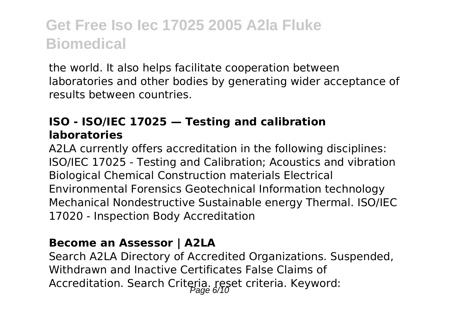the world. It also helps facilitate cooperation between laboratories and other bodies by generating wider acceptance of results between countries.

#### **ISO - ISO/IEC 17025 — Testing and calibration laboratories**

A2LA currently offers accreditation in the following disciplines: ISO/IEC 17025 - Testing and Calibration; Acoustics and vibration Biological Chemical Construction materials Electrical Environmental Forensics Geotechnical Information technology Mechanical Nondestructive Sustainable energy Thermal. ISO/IEC 17020 - Inspection Body Accreditation

#### **Become an Assessor | A2LA**

Search A2LA Directory of Accredited Organizations. Suspended, Withdrawn and Inactive Certificates False Claims of Accreditation. Search Criteria. reset criteria. Keyword: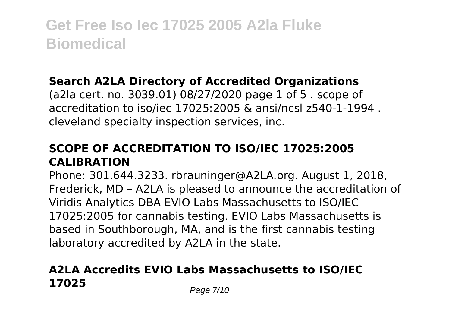#### **Search A2LA Directory of Accredited Organizations**

(a2la cert. no. 3039.01) 08/27/2020 page 1 of 5 . scope of accreditation to iso/iec 17025:2005 & ansi/ncsl z540-1-1994 . cleveland specialty inspection services, inc.

#### **SCOPE OF ACCREDITATION TO ISO/IEC 17025:2005 CALIBRATION**

Phone: 301.644.3233. rbrauninger@A2LA.org. August 1, 2018, Frederick, MD – A2LA is pleased to announce the accreditation of Viridis Analytics DBA EVIO Labs Massachusetts to ISO/IEC 17025:2005 for cannabis testing. EVIO Labs Massachusetts is based in Southborough, MA, and is the first cannabis testing laboratory accredited by A2LA in the state.

### **A2LA Accredits EVIO Labs Massachusetts to ISO/IEC 17025** Page 7/10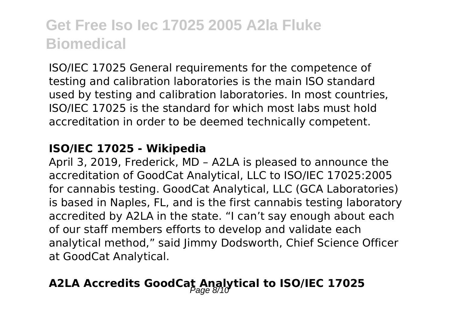ISO/IEC 17025 General requirements for the competence of testing and calibration laboratories is the main ISO standard used by testing and calibration laboratories. In most countries, ISO/IEC 17025 is the standard for which most labs must hold accreditation in order to be deemed technically competent.

#### **ISO/IEC 17025 - Wikipedia**

April 3, 2019, Frederick, MD – A2LA is pleased to announce the accreditation of GoodCat Analytical, LLC to ISO/IEC 17025:2005 for cannabis testing. GoodCat Analytical, LLC (GCA Laboratories) is based in Naples, FL, and is the first cannabis testing laboratory accredited by A2LA in the state. "I can't say enough about each of our staff members efforts to develop and validate each analytical method," said limmy Dodsworth, Chief Science Officer at GoodCat Analytical.

### A2LA Accredits GoodCat Analytical to ISO/IEC 17025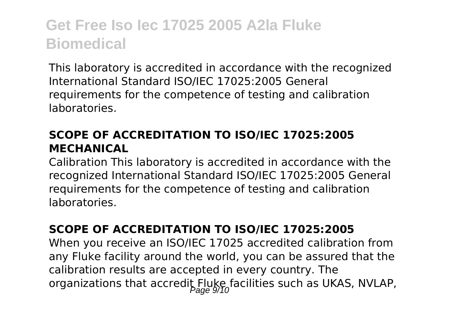This laboratory is accredited in accordance with the recognized International Standard ISO/IEC 17025:2005 General requirements for the competence of testing and calibration laboratories.

#### **SCOPE OF ACCREDITATION TO ISO/IEC 17025:2005 MECHANICAL**

Calibration This laboratory is accredited in accordance with the recognized International Standard ISO/IEC 17025:2005 General requirements for the competence of testing and calibration laboratories.

#### **SCOPE OF ACCREDITATION TO ISO/IEC 17025:2005**

When you receive an ISO/IEC 17025 accredited calibration from any Fluke facility around the world, you can be assured that the calibration results are accepted in every country. The organizations that accredit Fluke facilities such as UKAS, NVLAP,